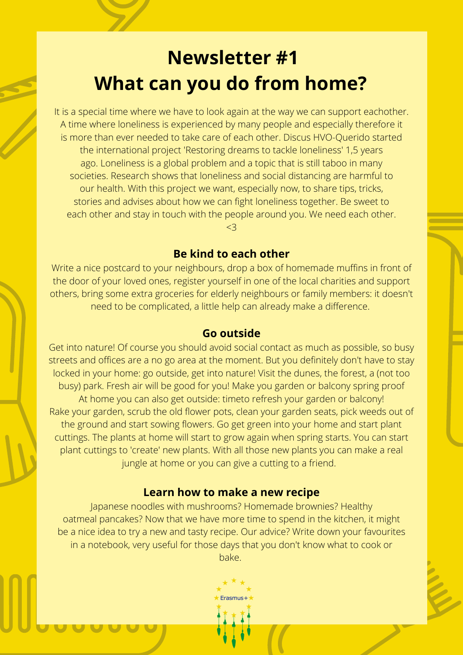# **Newsletter #1 What can you do from home?**

It is a special time where we have to look again at the way we can support eachother. A time where loneliness is experienced by many people and especially therefore it is more than ever needed to take care of each other. Discus HVO-Querido started the international project 'Restoring dreams to tackle loneliness' 1,5 years ago. Loneliness is a global problem and a topic that is still taboo in many societies. Research shows that loneliness and social distancing are harmful to our health. With this project we want, especially now, to share tips, tricks, stories and advises about how we can fight loneliness together. Be sweet to each other and stay in touch with the people around you. We need each other.

<3

# **Be kind to each other**

Write a nice postcard to your neighbours, drop a box of homemade muffins in front of the door of your loved ones, register yourself in one of the local charities and support others, bring some extra groceries for elderly neighbours or family members: it doesn't need to be complicated, a little help can already make a difference.

## **Go outside**

Get into nature! Of course you should avoid social contact as much as possible, so busy streets and offices are a no go area at the moment. But you definitely don't have to stay locked in your home: go outside, get into nature! Visit the dunes, the forest, a (not too busy) park. Fresh air will be good for you! Make you garden or balcony spring proof At home you can also get outside: timeto refresh your garden or balcony! Rake your garden, scrub the old flower pots, clean your garden seats, pick weeds out of the ground and start sowing flowers. Go get green into your home and start plant cuttings. The plants at home will start to grow again when spring starts. You can start plant cuttings to 'create' new plants. With all those new plants you can make a real jungle at home or you can give a cutting to a friend.

# **Learn how to make a new recipe**

Japanese noodles with mushrooms? Homemade brownies? Healthy oatmeal pancakes? Now that we have more time to spend in the kitchen, it might be a nice idea to try a new and tasty recipe. Our advice? Write down your favourites in a notebook, very useful for those days that you don't know what to cook or bake.